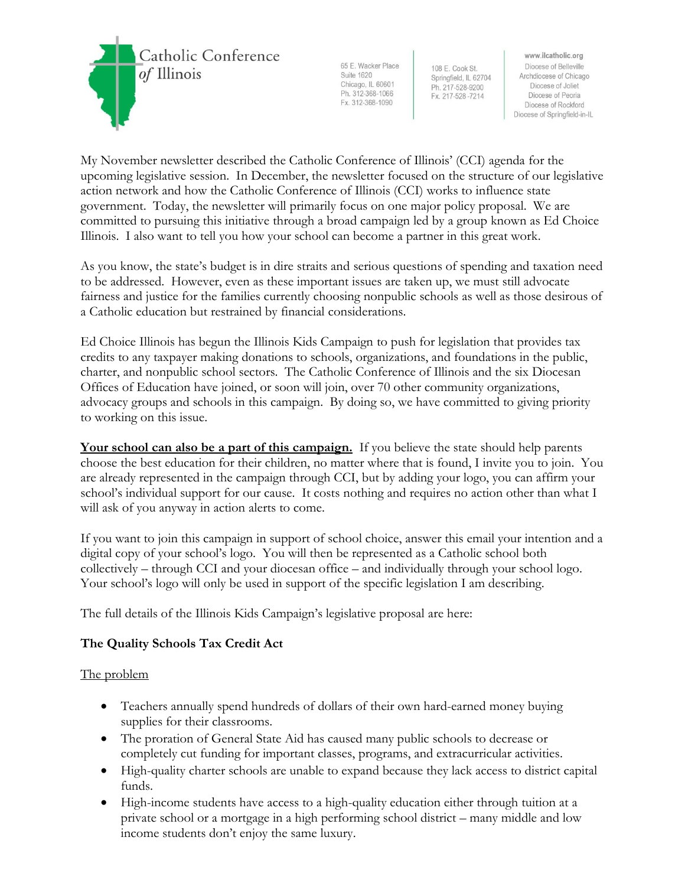

65 E. Wacker Place Suite 1620 Chicago, IL 60601 Ph. 312-368-1066 Fx. 312-368-1090

108 E. Cook St. Springfield, IL 62704 Ph. 217-528-9200 Fx. 217-528-7214

www.ilcatholic.org Diocese of Belleville Archdiocese of Chicago Diocese of Joliet Diocese of Peoria Diocese of Rockford Diocese of Springfield-in-IL

My November newsletter described the Catholic Conference of Illinois' (CCI) agenda for the upcoming legislative session. In December, the newsletter focused on the structure of our legislative action network and how the Catholic Conference of Illinois (CCI) works to influence state government. Today, the newsletter will primarily focus on one major policy proposal. We are committed to pursuing this initiative through a broad campaign led by a group known as Ed Choice Illinois. I also want to tell you how your school can become a partner in this great work.

As you know, the state's budget is in dire straits and serious questions of spending and taxation need to be addressed. However, even as these important issues are taken up, we must still advocate fairness and justice for the families currently choosing nonpublic schools as well as those desirous of a Catholic education but restrained by financial considerations.

Ed Choice Illinois has begun the Illinois Kids Campaign to push for legislation that provides tax credits to any taxpayer making donations to schools, organizations, and foundations in the public, charter, and nonpublic school sectors. The Catholic Conference of Illinois and the six Diocesan Offices of Education have joined, or soon will join, over 70 other community organizations, advocacy groups and schools in this campaign. By doing so, we have committed to giving priority to working on this issue.

Your school can also be a part of this campaign. If you believe the state should help parents choose the best education for their children, no matter where that is found, I invite you to join. You are already represented in the campaign through CCI, but by adding your logo, you can affirm your school's individual support for our cause. It costs nothing and requires no action other than what I will ask of you anyway in action alerts to come.

If you want to join this campaign in support of school choice, answer this email your intention and a digital copy of your school's logo. You will then be represented as a Catholic school both collectively – through CCI and your diocesan office – and individually through your school logo. Your school's logo will only be used in support of the specific legislation I am describing.

The full details of the Illinois Kids Campaign's legislative proposal are here:

# **The Quality Schools Tax Credit Act**

The problem

- Teachers annually spend hundreds of dollars of their own hard-earned money buying supplies for their classrooms.
- The proration of General State Aid has caused many public schools to decrease or completely cut funding for important classes, programs, and extracurricular activities.
- High-quality charter schools are unable to expand because they lack access to district capital funds.
- High-income students have access to a high-quality education either through tuition at a private school or a mortgage in a high performing school district – many middle and low income students don't enjoy the same luxury.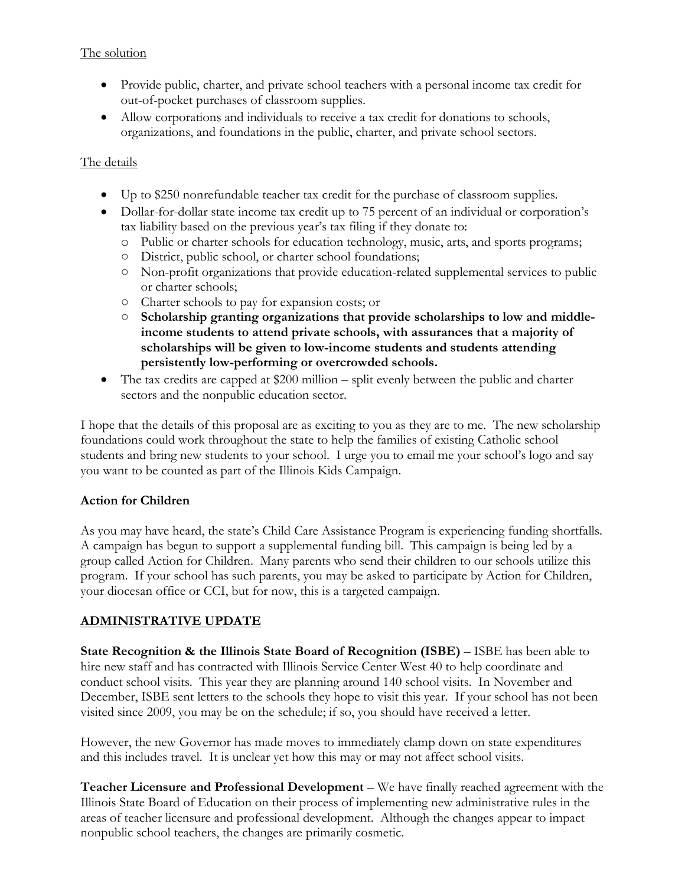#### The solution

- Provide public, charter, and private school teachers with a personal income tax credit for out-of-pocket purchases of classroom supplies.
- Allow corporations and individuals to receive a tax credit for donations to schools, organizations, and foundations in the public, charter, and private school sectors.

### The details

- Up to \$250 nonrefundable teacher tax credit for the purchase of classroom supplies.
- Dollar-for-dollar state income tax credit up to 75 percent of an individual or corporation's tax liability based on the previous year's tax filing if they donate to:
	- o Public or charter schools for education technology, music, arts, and sports programs;
	- District, public school, or charter school foundations;
	- Non-profit organizations that provide education-related supplemental services to public or charter schools;
	- Charter schools to pay for expansion costs; or
	- **Scholarship granting organizations that provide scholarships to low and middleincome students to attend private schools, with assurances that a majority of scholarships will be given to low-income students and students attending persistently low-performing or overcrowded schools.**
- The tax credits are capped at \$200 million split evenly between the public and charter sectors and the nonpublic education sector.

I hope that the details of this proposal are as exciting to you as they are to me. The new scholarship foundations could work throughout the state to help the families of existing Catholic school students and bring new students to your school. I urge you to email me your school's logo and say you want to be counted as part of the Illinois Kids Campaign.

## **Action for Children**

As you may have heard, the state's Child Care Assistance Program is experiencing funding shortfalls. A campaign has begun to support a supplemental funding bill. This campaign is being led by a group called Action for Children. Many parents who send their children to our schools utilize this program. If your school has such parents, you may be asked to participate by Action for Children, your diocesan office or CCI, but for now, this is a targeted campaign.

## **ADMINISTRATIVE UPDATE**

**State Recognition & the Illinois State Board of Recognition (ISBE)** – ISBE has been able to hire new staff and has contracted with Illinois Service Center West 40 to help coordinate and conduct school visits. This year they are planning around 140 school visits. In November and December, ISBE sent letters to the schools they hope to visit this year. If your school has not been visited since 2009, you may be on the schedule; if so, you should have received a letter.

However, the new Governor has made moves to immediately clamp down on state expenditures and this includes travel. It is unclear yet how this may or may not affect school visits.

**Teacher Licensure and Professional Development** – We have finally reached agreement with the Illinois State Board of Education on their process of implementing new administrative rules in the areas of teacher licensure and professional development. Although the changes appear to impact nonpublic school teachers, the changes are primarily cosmetic.